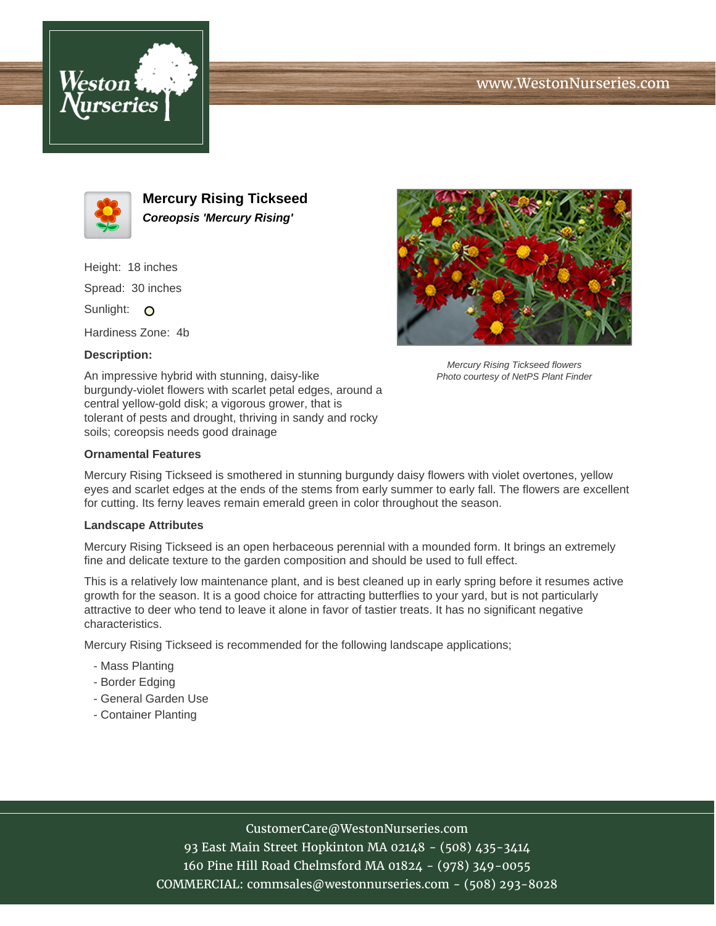





**Mercury Rising Tickseed Coreopsis 'Mercury Rising'**

Height: 18 inches Spread: 30 inches Sunlight: O

Hardiness Zone: 4b

## **Description:**





Mercury Rising Tickseed flowers Photo courtesy of NetPS Plant Finder

# **Ornamental Features**

Mercury Rising Tickseed is smothered in stunning burgundy daisy flowers with violet overtones, yellow eyes and scarlet edges at the ends of the stems from early summer to early fall. The flowers are excellent for cutting. Its ferny leaves remain emerald green in color throughout the season.

#### **Landscape Attributes**

Mercury Rising Tickseed is an open herbaceous perennial with a mounded form. It brings an extremely fine and delicate texture to the garden composition and should be used to full effect.

This is a relatively low maintenance plant, and is best cleaned up in early spring before it resumes active growth for the season. It is a good choice for attracting butterflies to your yard, but is not particularly attractive to deer who tend to leave it alone in favor of tastier treats. It has no significant negative characteristics.

Mercury Rising Tickseed is recommended for the following landscape applications;

- Mass Planting
- Border Edging
- General Garden Use
- Container Planting

## CustomerCare@WestonNurseries.com

93 East Main Street Hopkinton MA 02148 - (508) 435-3414 160 Pine Hill Road Chelmsford MA 01824 - (978) 349-0055 COMMERCIAL: commsales@westonnurseries.com - (508) 293-8028